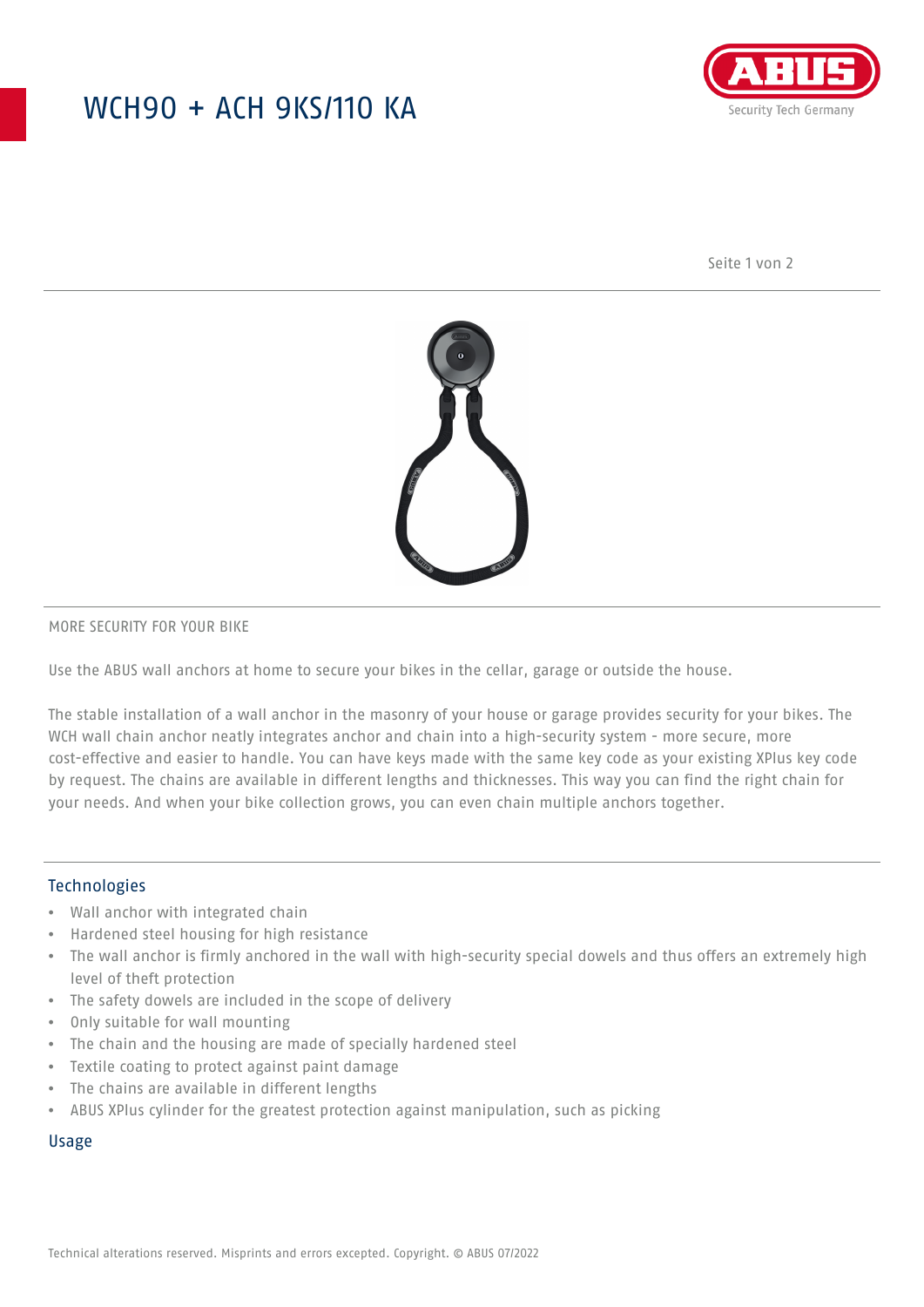## WCH90 + ACH 9KS/110 KA



Seite 1 von 2



#### MORE SECURITY FOR YOUR BIKE

Use the ABUS wall anchors at home to secure your bikes in the cellar, garage or outside the house.

The stable installation of a wall anchor in the masonry of your house or garage provides security for your bikes. The WCH wall chain anchor neatly integrates anchor and chain into a high-security system - more secure, more cost-effective and easier to handle. You can have keys made with the same key code as your existing XPlus key code by request. The chains are available in different lengths and thicknesses. This way you can find the right chain for your needs. And when your bike collection grows, you can even chain multiple anchors together.

### Technologies

- Wall anchor with integrated chain
- Hardened steel housing for high resistance
- The wall anchor is firmly anchored in the wall with high-security special dowels and thus offers an extremely high level of theft protection
- The safety dowels are included in the scope of delivery
- Only suitable for wall mounting
- The chain and the housing are made of specially hardened steel
- Textile coating to protect against paint damage
- The chains are available in different lengths
- ABUS XPlus cylinder for the greatest protection against manipulation, such as picking

#### Usage